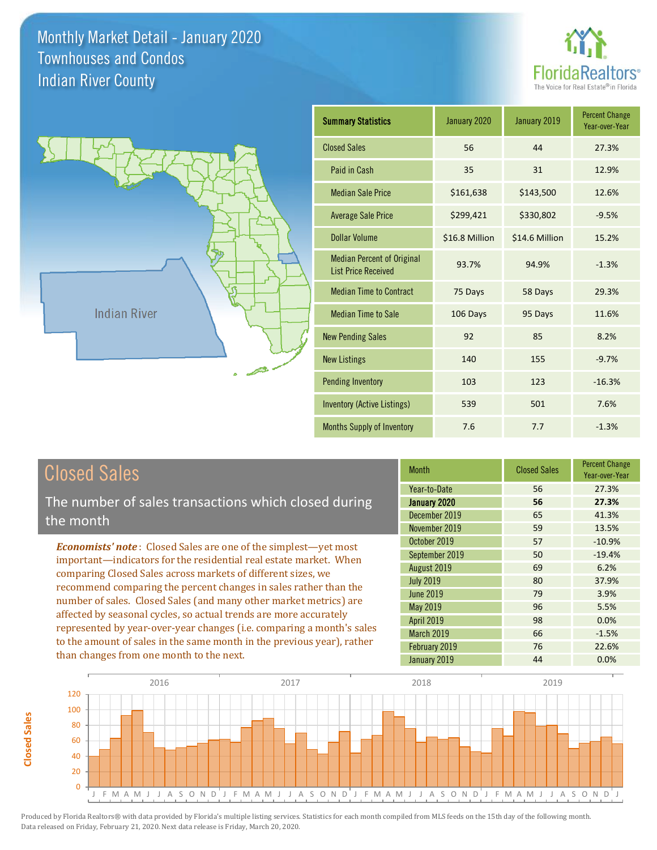



| <b>Summary Statistics</b>                                       | January 2020   | January 2019   | <b>Percent Change</b><br>Year-over-Year |
|-----------------------------------------------------------------|----------------|----------------|-----------------------------------------|
| <b>Closed Sales</b>                                             | 56             | 44             | 27.3%                                   |
| Paid in Cash                                                    | 35             | 31             | 12.9%                                   |
| <b>Median Sale Price</b>                                        | \$161,638      | \$143,500      | 12.6%                                   |
| <b>Average Sale Price</b>                                       | \$299,421      | \$330,802      | $-9.5%$                                 |
| Dollar Volume                                                   | \$16.8 Million | \$14.6 Million | 15.2%                                   |
| <b>Median Percent of Original</b><br><b>List Price Received</b> | 93.7%          | 94.9%          | $-1.3%$                                 |
| <b>Median Time to Contract</b>                                  | 75 Days        | 58 Days        | 29.3%                                   |
| <b>Median Time to Sale</b>                                      | 106 Days       | 95 Days        | 11.6%                                   |
| <b>New Pending Sales</b>                                        | 92             | 85             | 8.2%                                    |
| <b>New Listings</b>                                             | 140            | 155            | $-9.7%$                                 |
| <b>Pending Inventory</b>                                        | 103            | 123            | $-16.3%$                                |
| Inventory (Active Listings)                                     | 539            | 501            | 7.6%                                    |
| <b>Months Supply of Inventory</b>                               | 7.6            | 7.7            | $-1.3%$                                 |

| <b>Closed Sales</b> |
|---------------------|
|---------------------|

**Closed Sales**

**Closed Sales** 

The number of sales transactions which closed during the month

*Economists' note* : Closed Sales are one of the simplest—yet most important—indicators for the residential real estate market. When comparing Closed Sales across markets of different sizes, we recommend comparing the percent changes in sales rather than the number of sales. Closed Sales (and many other market metrics) are affected by seasonal cycles, so actual trends are more accurately represented by year-over-year changes (i.e. comparing a month's sales to the amount of sales in the same month in the previous year), rather than changes from one month to the next.

| <b>Month</b>      | <b>Closed Sales</b> | <b>Percent Change</b><br>Year-over-Year |
|-------------------|---------------------|-----------------------------------------|
| Year-to-Date      | 56                  | 27.3%                                   |
| January 2020      | 56                  | 27.3%                                   |
| December 2019     | 65                  | 41.3%                                   |
| November 2019     | 59                  | 13.5%                                   |
| October 2019      | 57                  | $-10.9%$                                |
| September 2019    | 50                  | $-19.4%$                                |
| August 2019       | 69                  | 6.2%                                    |
| <b>July 2019</b>  | 80                  | 37.9%                                   |
| <b>June 2019</b>  | 79                  | 3.9%                                    |
| May 2019          | 96                  | 5.5%                                    |
| <b>April 2019</b> | 98                  | 0.0%                                    |
| March 2019        | 66                  | $-1.5%$                                 |
| February 2019     | 76                  | 22.6%                                   |
| January 2019      | 44                  | 0.0%                                    |

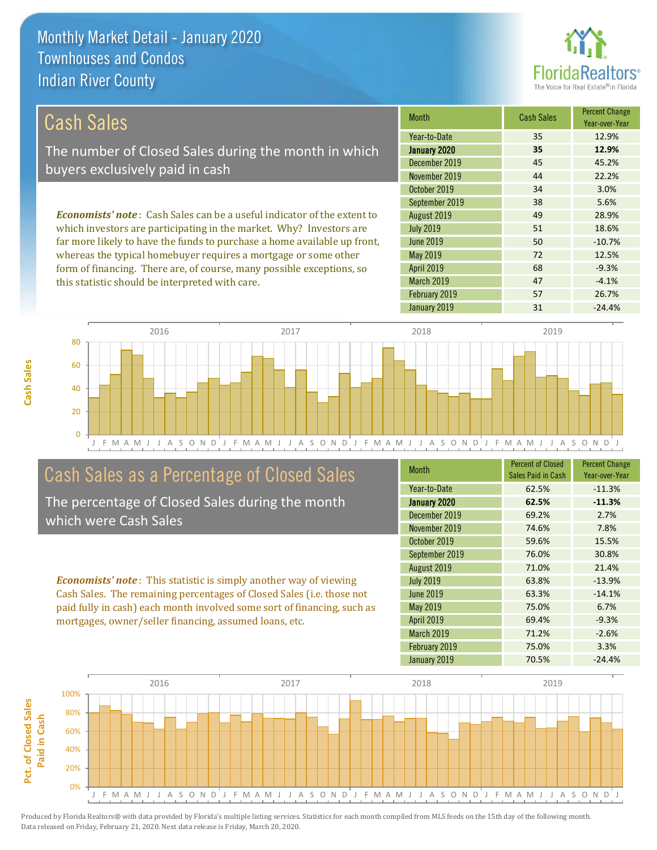this statistic should be interpreted with care.



47 -4.1%

68 -9.3%

| Cash Sales                                                                     | <b>Month</b>     | <b>Cash Sales</b> | <b>Percent Change</b><br>Year-over-Year |
|--------------------------------------------------------------------------------|------------------|-------------------|-----------------------------------------|
|                                                                                | Year-to-Date     | 35                | 12.9%                                   |
| The number of Closed Sales during the month in which                           | January 2020     | 35                | 12.9%                                   |
| buyers exclusively paid in cash                                                | December 2019    | 45                | 45.2%                                   |
|                                                                                | November 2019    | 44                | 22.2%                                   |
|                                                                                | October 2019     | 34                | 3.0%                                    |
|                                                                                | September 2019   | 38                | 5.6%                                    |
| <b>Economists' note:</b> Cash Sales can be a useful indicator of the extent to | August 2019      | 49                | 28.9%                                   |
| which investors are participating in the market. Why? Investors are            | <b>July 2019</b> | 51                | 18.6%                                   |
| far more likely to have the funds to purchase a home available up front,       | June 2019        | 50                | $-10.7%$                                |
| whereas the typical homebuyer requires a mortgage or some other                | May 2019         | 72                | 12.5%                                   |

April 2019

March 2019

J F M A M J J A S O N D J F M A M J J A S O N D J F M A M J J A S O N D J F M A M J J A S O N D J 0 20 40 60 80 2016 2017 2018 2019

### Cash Sales as a Percentage of Closed Sales

form of financing. There are, of course, many possible exceptions, so

The percentage of Closed Sales during the month which were Cash Sales

*Economists' note* : This statistic is simply another way of viewing Cash Sales. The remaining percentages of Closed Sales (i.e. those not paid fully in cash) each month involved some sort of financing, such as mortgages, owner/seller financing, assumed loans, etc.

| <b>Month</b>      | <b>Percent of Closed</b><br>Sales Paid in Cash | <b>Percent Change</b><br>Year-over-Year |
|-------------------|------------------------------------------------|-----------------------------------------|
| Year-to-Date      | 62.5%                                          | $-11.3%$                                |
| January 2020      | 62.5%                                          | $-11.3%$                                |
| December 2019     | 69.2%                                          | 2.7%                                    |
| November 2019     | 74.6%                                          | 7.8%                                    |
| October 2019      | 59.6%                                          | 15.5%                                   |
| September 2019    | 76.0%                                          | 30.8%                                   |
| August 2019       | 71.0%                                          | 21.4%                                   |
| <b>July 2019</b>  | 63.8%                                          | $-13.9%$                                |
| June 2019         | 63.3%                                          | $-14.1%$                                |
| May 2019          | 75.0%                                          | 6.7%                                    |
| <b>April 2019</b> | 69.4%                                          | $-9.3%$                                 |
| <b>March 2019</b> | 71.2%                                          | $-2.6%$                                 |
| February 2019     | 75.0%                                          | 3.3%                                    |
| January 2019      | 70.5%                                          | $-24.4%$                                |

February 2019 **57** 26.7%

January 2019 **31** -24.4%

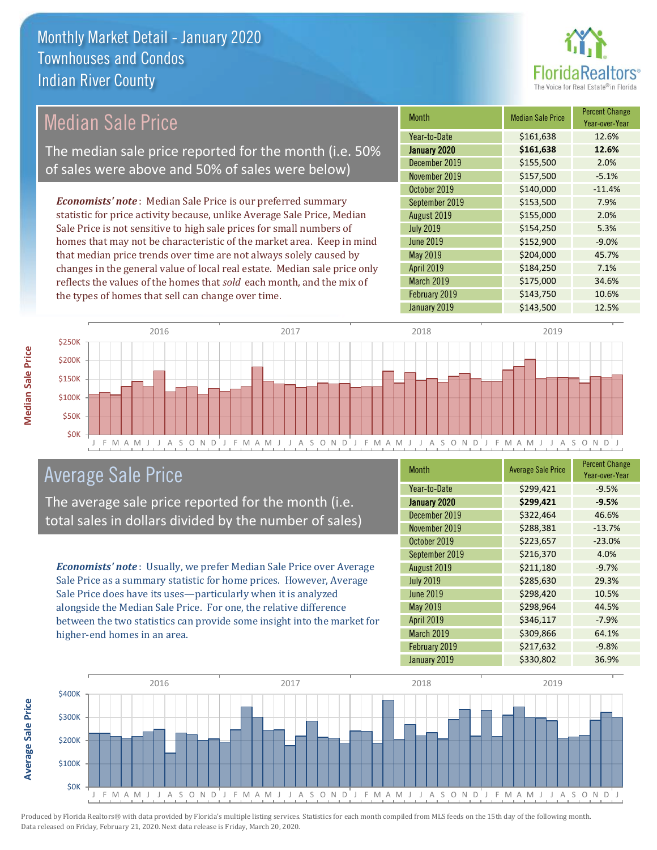

### Median Sale Price

The median sale price reported for the month (i.e. 50% of sales were above and 50% of sales were below)

*Economists' note* : Median Sale Price is our preferred summary statistic for price activity because, unlike Average Sale Price, Median Sale Price is not sensitive to high sale prices for small numbers of homes that may not be characteristic of the market area. Keep in mind that median price trends over time are not always solely caused by changes in the general value of local real estate. Median sale price only reflects the values of the homes that *sold* each month, and the mix of the types of homes that sell can change over time.

| <b>Month</b>     | <b>Median Sale Price</b> | <b>Percent Change</b><br>Year-over-Year |
|------------------|--------------------------|-----------------------------------------|
| Year-to-Date     | \$161,638                | 12.6%                                   |
| January 2020     | \$161,638                | 12.6%                                   |
| December 2019    | \$155,500                | 2.0%                                    |
| November 2019    | \$157,500                | $-5.1%$                                 |
| October 2019     | \$140,000                | $-11.4%$                                |
| September 2019   | \$153,500                | 7.9%                                    |
| August 2019      | \$155,000                | 2.0%                                    |
| <b>July 2019</b> | \$154,250                | 5.3%                                    |
| <b>June 2019</b> | \$152,900                | $-9.0%$                                 |
| May 2019         | \$204,000                | 45.7%                                   |
| April 2019       | \$184,250                | 7.1%                                    |
| March 2019       | \$175,000                | 34.6%                                   |
| February 2019    | \$143,750                | 10.6%                                   |
| January 2019     | \$143,500                | 12.5%                                   |



### Average Sale Price

The average sale price reported for the month (i.e. total sales in dollars divided by the number of sales)

*Economists' note* : Usually, we prefer Median Sale Price over Average Sale Price as a summary statistic for home prices. However, Average Sale Price does have its uses—particularly when it is analyzed alongside the Median Sale Price. For one, the relative difference between the two statistics can provide some insight into the market for higher-end homes in an area.

| <b>Month</b>      | <b>Average Sale Price</b> | <b>Percent Change</b><br>Year-over-Year |
|-------------------|---------------------------|-----------------------------------------|
| Year-to-Date      | \$299,421                 | $-9.5%$                                 |
| January 2020      | \$299,421                 | $-9.5%$                                 |
| December 2019     | \$322,464                 | 46.6%                                   |
| November 2019     | \$288,381                 | $-13.7%$                                |
| October 2019      | \$223,657                 | $-23.0%$                                |
| September 2019    | \$216,370                 | 4.0%                                    |
| August 2019       | \$211,180                 | $-9.7%$                                 |
| <b>July 2019</b>  | \$285,630                 | 29.3%                                   |
| <b>June 2019</b>  | \$298,420                 | 10.5%                                   |
| May 2019          | \$298,964                 | 44.5%                                   |
| <b>April 2019</b> | \$346,117                 | $-7.9%$                                 |
| March 2019        | \$309,866                 | 64.1%                                   |
| February 2019     | \$217,632                 | $-9.8%$                                 |
| January 2019      | \$330,802                 | 36.9%                                   |



Produced by Florida Realtors® with data provided by Florida's multiple listing services. Statistics for each month compiled from MLS feeds on the 15th day of the following month. Data released on Friday, February 21, 2020. Next data release is Friday, March 20, 2020.

**Average Sale Price**

**Average Sale Price**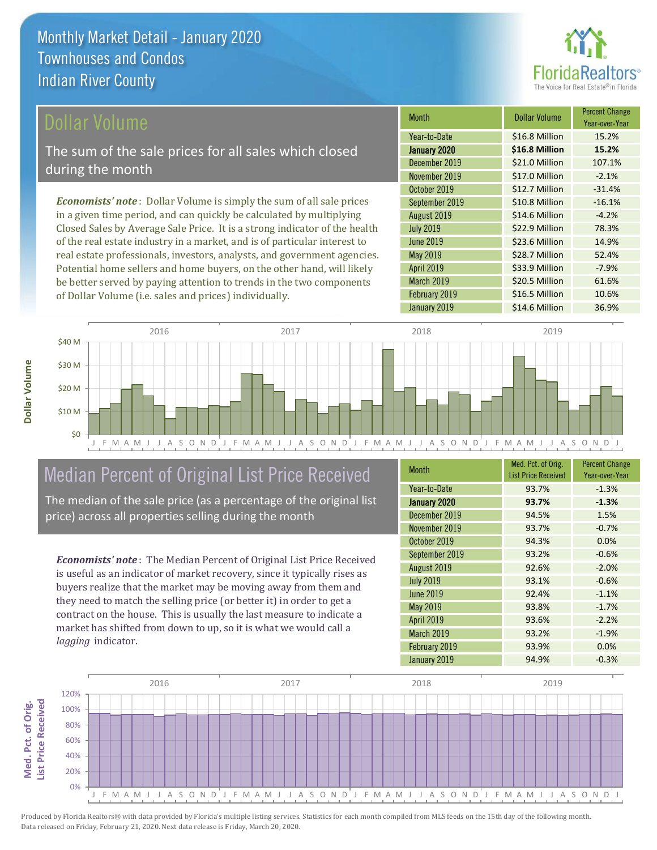

Year-over-Year

### ollar Volume

The sum of the sale prices for all sales which closed during the month

*Economists' note* : Dollar Volume is simply the sum of all sale prices in a given time period, and can quickly be calculated by multiplying Closed Sales by Average Sale Price. It is a strong indicator of the health of the real estate industry in a market, and is of particular interest to real estate professionals, investors, analysts, and government agencies. Potential home sellers and home buyers, on the other hand, will likely be better served by paying attention to trends in the two components of Dollar Volume (i.e. sales and prices) individually.



## Median Percent of Original List Price Received

The median of the sale price (as a percentage of the original list price) across all properties selling during the month

*Economists' note* : The Median Percent of Original List Price Received is useful as an indicator of market recovery, since it typically rises as buyers realize that the market may be moving away from them and they need to match the selling price (or better it) in order to get a contract on the house. This is usually the last measure to indicate a market has shifted from down to up, so it is what we would call a *lagging* indicator.

| <b>Month</b>      | Med. Pct. of Orig.<br><b>List Price Received</b> | <b>Percent Change</b><br>Year-over-Year |
|-------------------|--------------------------------------------------|-----------------------------------------|
| Year-to-Date      | 93.7%                                            | $-1.3%$                                 |
| January 2020      | 93.7%                                            | $-1.3%$                                 |
| December 2019     | 94.5%                                            | 1.5%                                    |
| November 2019     | 93.7%                                            | $-0.7%$                                 |
| October 2019      | 94.3%                                            | 0.0%                                    |
| September 2019    | 93.2%                                            | $-0.6%$                                 |
| August 2019       | 92.6%                                            | $-2.0%$                                 |
| <b>July 2019</b>  | 93.1%                                            | $-0.6%$                                 |
| <b>June 2019</b>  | 92.4%                                            | $-1.1%$                                 |
| May 2019          | 93.8%                                            | $-1.7%$                                 |
| <b>April 2019</b> | 93.6%                                            | $-2.2%$                                 |
| March 2019        | 93.2%                                            | $-1.9%$                                 |
| February 2019     | 93.9%                                            | 0.0%                                    |
| January 2019      | 94.9%                                            | $-0.3%$                                 |

May 2019 **\$28.7 Million** 52.4%

October 2019 **\$12.7 Million** -31.4% September 2019 **\$10.8 Million** -16.1% August 2019 **\$14.6 Million** -4.2% July 2019 **\$22.9 Million** 78.3% June 2019 **\$23.6 Million** 14.9%

December 2019 \$21.0 Million 107.1% November 2019 **\$17.0 Million** -2.1%

January 2020 **\$16.8 Million 15.2%** Year-to-Date \$16.8 Million 15.2%

Month **Dollar Volume** Percent Change

February 2019 **\$16.5 Million** 10.6%

\$20.5 Million 61.6%

\$33.9 Million -7.9%

April 2019

March 2019

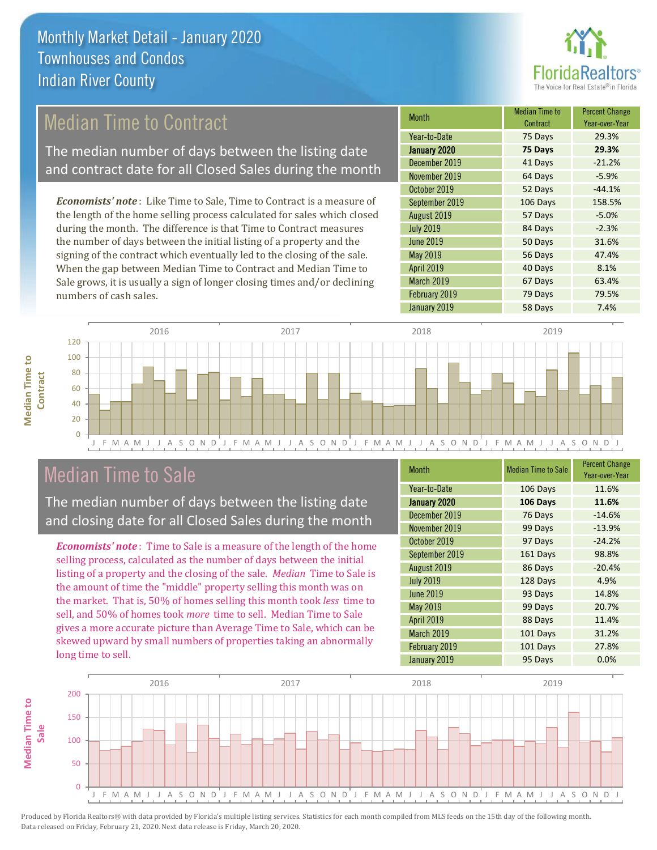

## Median Time to Contract

The median number of days between the listing date and contract date for all Closed Sales during the month

*Economists' note* : Like Time to Sale, Time to Contract is a measure of the length of the home selling process calculated for sales which closed during the month. The difference is that Time to Contract measures the number of days between the initial listing of a property and the signing of the contract which eventually led to the closing of the sale. When the gap between Median Time to Contract and Median Time to Sale grows, it is usually a sign of longer closing times and/or declining numbers of cash sales.

| <b>Month</b>     | <b>Median Time to</b><br>Contract | <b>Percent Change</b><br>Year-over-Year |
|------------------|-----------------------------------|-----------------------------------------|
| Year-to-Date     | 75 Days                           | 29.3%                                   |
| January 2020     | 75 Days                           | 29.3%                                   |
| December 2019    | 41 Days                           | $-21.2%$                                |
| November 2019    | 64 Days                           | $-5.9%$                                 |
| October 2019     | 52 Days                           | $-44.1%$                                |
| September 2019   | 106 Days                          | 158.5%                                  |
| August 2019      | 57 Days                           | $-5.0%$                                 |
| <b>July 2019</b> | 84 Days                           | $-2.3%$                                 |
| <b>June 2019</b> | 50 Days                           | 31.6%                                   |
| <b>May 2019</b>  | 56 Days                           | 47.4%                                   |
| April 2019       | 40 Days                           | 8.1%                                    |
| March 2019       | 67 Days                           | 63.4%                                   |
| February 2019    | 79 Days                           | 79.5%                                   |
| January 2019     | 58 Days                           | 7.4%                                    |



### Median Time to Sale

The median number of days between the listing date and closing date for all Closed Sales during the month

*Economists' note* : Time to Sale is a measure of the length of the home selling process, calculated as the number of days between the initial listing of a property and the closing of the sale. *Median* Time to Sale is the amount of time the "middle" property selling this month was on the market. That is, 50% of homes selling this month took *less* time to sell, and 50% of homes took *more* time to sell. Median Time to Sale gives a more accurate picture than Average Time to Sale, which can be skewed upward by small numbers of properties taking an abnormally long time to sell.

| <b>Month</b>      | <b>Median Time to Sale</b> | <b>Percent Change</b><br>Year-over-Year |
|-------------------|----------------------------|-----------------------------------------|
| Year-to-Date      | 106 Days                   | 11.6%                                   |
| January 2020      | 106 Days                   | 11.6%                                   |
| December 2019     | 76 Days                    | $-14.6%$                                |
| November 2019     | 99 Days                    | $-13.9%$                                |
| October 2019      | 97 Days                    | $-24.2%$                                |
| September 2019    | 161 Days                   | 98.8%                                   |
| August 2019       | 86 Days                    | $-20.4%$                                |
| <b>July 2019</b>  | 128 Days                   | 4.9%                                    |
| <b>June 2019</b>  | 93 Days                    | 14.8%                                   |
| May 2019          | 99 Days                    | 20.7%                                   |
| <b>April 2019</b> | 88 Days                    | 11.4%                                   |
| March 2019        | 101 Days                   | 31.2%                                   |
| February 2019     | 101 Days                   | 27.8%                                   |
| January 2019      | 95 Days                    | 0.0%                                    |

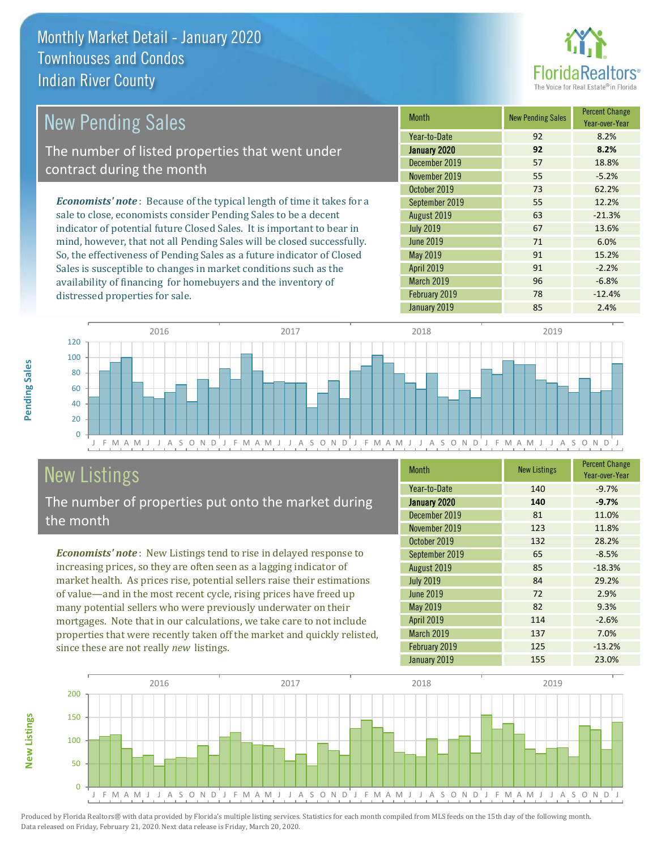

| New Pending Sales                                                              | <b>Month</b>      | <b>New Pending Sales</b> | <b>Percent Change</b><br>Year-over-Year |
|--------------------------------------------------------------------------------|-------------------|--------------------------|-----------------------------------------|
|                                                                                | Year-to-Date      | 92                       | 8.2%                                    |
| The number of listed properties that went under                                | January 2020      | 92                       | 8.2%                                    |
| contract during the month                                                      | December 2019     | 57                       | 18.8%                                   |
|                                                                                | November 2019     | 55                       | $-5.2%$                                 |
|                                                                                | October 2019      | 73                       | 62.2%                                   |
| <b>Economists' note</b> : Because of the typical length of time it takes for a | September 2019    | 55                       | 12.2%                                   |
| sale to close, economists consider Pending Sales to be a decent                | August 2019       | 63                       | $-21.3%$                                |
| indicator of potential future Closed Sales. It is important to bear in         | <b>July 2019</b>  | 67                       | 13.6%                                   |
| mind, however, that not all Pending Sales will be closed successfully.         | June 2019         | 71                       | 6.0%                                    |
| So, the effectiveness of Pending Sales as a future indicator of Closed         | May 2019          | 91                       | 15.2%                                   |
| Sales is susceptible to changes in market conditions such as the               | <b>April 2019</b> | 91                       | $-2.2%$                                 |



# New Listings

distressed properties for sale.

The number of properties put onto the market during the month

availability of financing for homebuyers and the inventory of

*Economists' note* : New Listings tend to rise in delayed response to increasing prices, so they are often seen as a lagging indicator of market health. As prices rise, potential sellers raise their estimations of value—and in the most recent cycle, rising prices have freed up many potential sellers who were previously underwater on their mortgages. Note that in our calculations, we take care to not include properties that were recently taken off the market and quickly relisted, since these are not really *new* listings.

| <b>Month</b>     | <b>New Listings</b> | <b>Percent Change</b><br>Year-over-Year |
|------------------|---------------------|-----------------------------------------|
| Year-to-Date     | 140                 | $-9.7%$                                 |
| January 2020     | 140                 | $-9.7%$                                 |
| December 2019    | 81                  | 11.0%                                   |
| November 2019    | 123                 | 11.8%                                   |
| October 2019     | 132                 | 28.2%                                   |
| September 2019   | 65                  | $-8.5%$                                 |
| August 2019      | 85                  | $-18.3%$                                |
| <b>July 2019</b> | 84                  | 29.2%                                   |
| <b>June 2019</b> | 72                  | 2.9%                                    |
| May 2019         | 82                  | 9.3%                                    |
| April 2019       | 114                 | $-2.6%$                                 |
| March 2019       | 137                 | 7.0%                                    |
| February 2019    | 125                 | $-13.2%$                                |
| January 2019     | 155                 | 23.0%                                   |

January 2019 **85** 2.4%

March 2019 **96** -6.8% February 2019 78 -12.4%



Produced by Florida Realtors® with data provided by Florida's multiple listing services. Statistics for each month compiled from MLS feeds on the 15th day of the following month. Data released on Friday, February 21, 2020. Next data release is Friday, March 20, 2020.

**New Listings**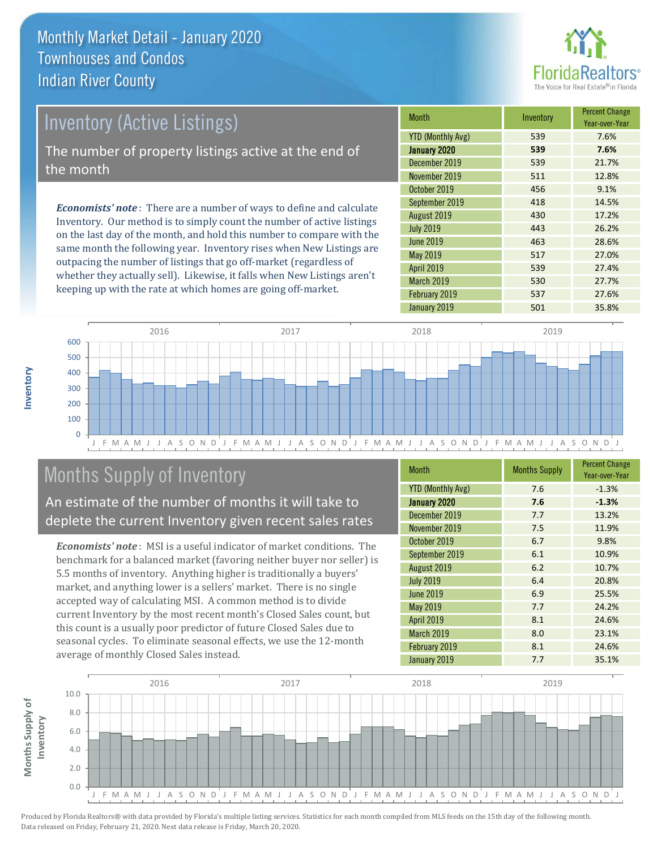

# Inventory (Active Listings) The number of property listings active at the end of the month

*Economists' note* : There are a number of ways to define and calculate Inventory. Our method is to simply count the number of active listings on the last day of the month, and hold this number to compare with the same month the following year. Inventory rises when New Listings are outpacing the number of listings that go off-market (regardless of whether they actually sell). Likewise, it falls when New Listings aren't keeping up with the rate at which homes are going off-market.

| Month                    | Inventory | <b>Percent Change</b><br>Year-over-Year |
|--------------------------|-----------|-----------------------------------------|
| <b>YTD (Monthly Avg)</b> | 539       | 7.6%                                    |
| January 2020             | 539       | 7.6%                                    |
| December 2019            | 539       | 21.7%                                   |
| November 2019            | 511       | 12.8%                                   |
| October 2019             | 456       | 9.1%                                    |
| September 2019           | 418       | 14.5%                                   |
| August 2019              | 430       | 17.2%                                   |
| <b>July 2019</b>         | 443       | 26.2%                                   |
| <b>June 2019</b>         | 463       | 28.6%                                   |
| <b>May 2019</b>          | 517       | 27.0%                                   |
| April 2019               | 539       | 27.4%                                   |
| March 2019               | 530       | 27.7%                                   |
| February 2019            | 537       | 27.6%                                   |
| January 2019             | 501       | 35.8%                                   |



# Months Supply of Inventory

An estimate of the number of months it will take to deplete the current Inventory given recent sales rates

*Economists' note* : MSI is a useful indicator of market conditions. The benchmark for a balanced market (favoring neither buyer nor seller) is 5.5 months of inventory. Anything higher is traditionally a buyers' market, and anything lower is a sellers' market. There is no single accepted way of calculating MSI. A common method is to divide current Inventory by the most recent month's Closed Sales count, but this count is a usually poor predictor of future Closed Sales due to seasonal cycles. To eliminate seasonal effects, we use the 12-month average of monthly Closed Sales instead.

| <b>Month</b>             | <b>Months Supply</b> | <b>Percent Change</b><br>Year-over-Year |
|--------------------------|----------------------|-----------------------------------------|
| <b>YTD (Monthly Avg)</b> | 7.6                  | $-1.3%$                                 |
| January 2020             | 7.6                  | $-1.3%$                                 |
| December 2019            | 7.7                  | 13.2%                                   |
| November 2019            | 7.5                  | 11.9%                                   |
| October 2019             | 6.7                  | 9.8%                                    |
| September 2019           | 6.1                  | 10.9%                                   |
| August 2019              | 6.2                  | 10.7%                                   |
| <b>July 2019</b>         | 6.4                  | 20.8%                                   |
| <b>June 2019</b>         | 6.9                  | 25.5%                                   |
| <b>May 2019</b>          | 7.7                  | 24.2%                                   |
| <b>April 2019</b>        | 8.1                  | 24.6%                                   |
| <b>March 2019</b>        | 8.0                  | 23.1%                                   |
| February 2019            | 8.1                  | 24.6%                                   |
| January 2019             | 7.7                  | 35.1%                                   |



**Inventory**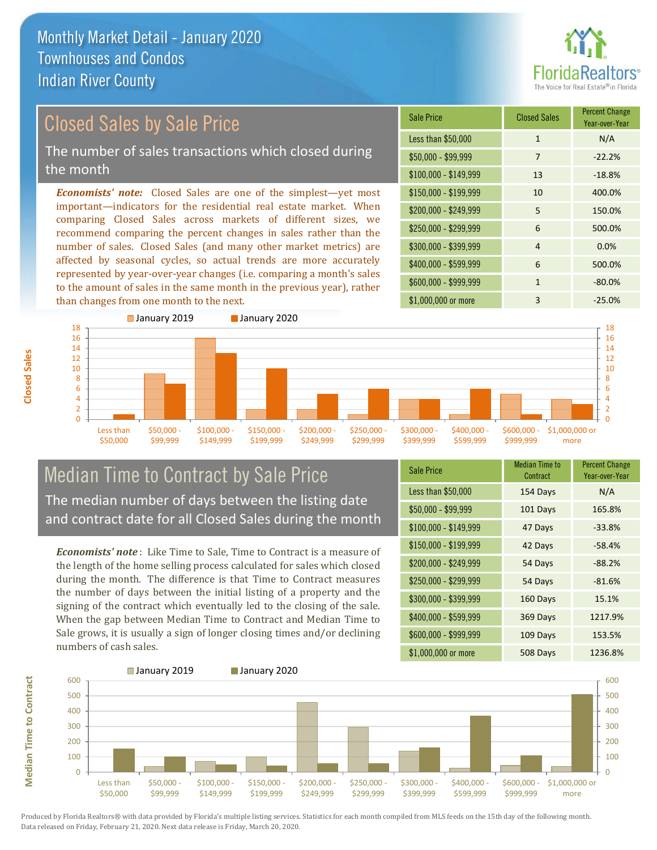

# Closed Sales by Sale Price

The number of sales transactions which closed during the month

*Economists' note:* Closed Sales are one of the simplest—yet most important—indicators for the residential real estate market. When comparing Closed Sales across markets of different sizes, we recommend comparing the percent changes in sales rather than the number of sales. Closed Sales (and many other market metrics) are affected by seasonal cycles, so actual trends are more accurately represented by year-over-year changes (i.e. comparing a month's sales to the amount of sales in the same month in the previous year), rather than changes from one month to the next.

| <b>Sale Price</b>     | <b>Closed Sales</b> | <b>Percent Change</b><br>Year-over-Year |
|-----------------------|---------------------|-----------------------------------------|
| Less than \$50,000    | $\mathbf{1}$        | N/A                                     |
| $$50,000 - $99,999$   | 7                   | $-22.2%$                                |
| $$100,000 - $149,999$ | 13                  | $-18.8%$                                |
| $$150,000 - $199,999$ | 10                  | 400.0%                                  |
| \$200,000 - \$249,999 | 5                   | 150.0%                                  |
| \$250,000 - \$299,999 | 6                   | 500.0%                                  |
| \$300,000 - \$399,999 | 4                   | 0.0%                                    |
| \$400,000 - \$599,999 | 6                   | 500.0%                                  |
| \$600,000 - \$999,999 | 1                   | $-80.0%$                                |
| \$1,000,000 or more   | 3                   | $-25.0%$                                |



### Median Time to Contract by Sale Price The median number of days between the listing date and contract date for all Closed Sales during the month

*Economists' note* : Like Time to Sale, Time to Contract is a measure of the length of the home selling process calculated for sales which closed during the month. The difference is that Time to Contract measures the number of days between the initial listing of a property and the signing of the contract which eventually led to the closing of the sale. When the gap between Median Time to Contract and Median Time to Sale grows, it is usually a sign of longer closing times and/or declining numbers of cash sales.

| <b>Sale Price</b>     | <b>Median Time to</b><br>Contract | <b>Percent Change</b><br>Year-over-Year |
|-----------------------|-----------------------------------|-----------------------------------------|
| Less than \$50,000    | 154 Days                          | N/A                                     |
| $$50,000 - $99,999$   | 101 Days                          | 165.8%                                  |
| $$100,000 - $149,999$ | 47 Days                           | $-33.8%$                                |
| \$150,000 - \$199,999 | 42 Days                           | $-58.4%$                                |
| \$200,000 - \$249,999 | 54 Days                           | $-88.2%$                                |
| \$250,000 - \$299,999 | 54 Days                           | $-81.6%$                                |
| \$300,000 - \$399,999 | 160 Days                          | 15.1%                                   |
| \$400,000 - \$599,999 | 369 Days                          | 1217.9%                                 |
| \$600,000 - \$999,999 | 109 Days                          | 153.5%                                  |
| \$1,000,000 or more   | 508 Days                          | 1236.8%                                 |

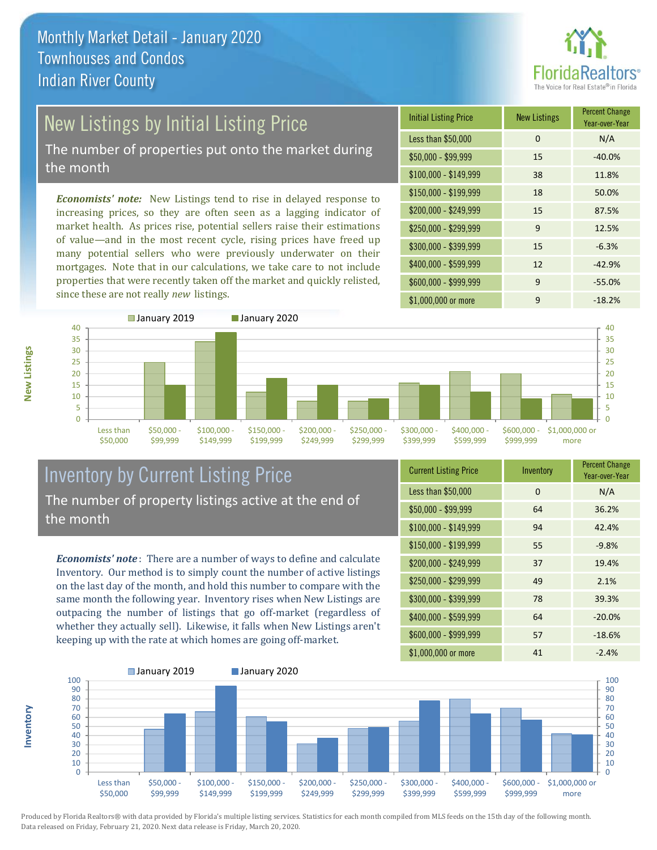

# New Listings by Initial Listing Price

The number of properties put onto the market during the month

*Economists' note:* New Listings tend to rise in delayed response to increasing prices, so they are often seen as a lagging indicator of market health. As prices rise, potential sellers raise their estimations of value—and in the most recent cycle, rising prices have freed up many potential sellers who were previously underwater on their mortgages. Note that in our calculations, we take care to not include properties that were recently taken off the market and quickly relisted, since these are not really *new* listings.

| <b>Initial Listing Price</b> | <b>New Listings</b> | <b>Percent Change</b><br>Year-over-Year |
|------------------------------|---------------------|-----------------------------------------|
| Less than \$50,000           | $\Omega$            | N/A                                     |
| $$50,000 - $99,999$          | 15                  | $-40.0%$                                |
| $$100,000 - $149,999$        | 38                  | 11.8%                                   |
| $$150,000 - $199,999$        | 18                  | 50.0%                                   |
| \$200,000 - \$249,999        | 15                  | 87.5%                                   |
| \$250,000 - \$299,999        | 9                   | 12.5%                                   |
| \$300,000 - \$399,999        | 15                  | $-6.3%$                                 |
| \$400,000 - \$599,999        | 12                  | $-42.9%$                                |
| \$600,000 - \$999,999        | 9                   | $-55.0%$                                |
| \$1,000,000 or more          | 9                   | $-18.2%$                                |



### Inventory by Current Listing Price The number of property listings active at the end of the month

*Economists' note* : There are a number of ways to define and calculate Inventory. Our method is to simply count the number of active listings on the last day of the month, and hold this number to compare with the same month the following year. Inventory rises when New Listings are outpacing the number of listings that go off-market (regardless of whether they actually sell). Likewise, it falls when New Listings aren't keeping up with the rate at which homes are going off-market.

| <b>Current Listing Price</b> | Inventory | <b>Percent Change</b><br>Year-over-Year |
|------------------------------|-----------|-----------------------------------------|
| Less than \$50,000           | 0         | N/A                                     |
| $$50,000 - $99,999$          | 64        | 36.2%                                   |
| \$100,000 - \$149,999        | 94        | 42.4%                                   |
| $$150,000 - $199,999$        | 55        | $-9.8%$                                 |
| \$200,000 - \$249,999        | 37        | 19.4%                                   |
| \$250,000 - \$299,999        | 49        | 2.1%                                    |
| \$300,000 - \$399,999        | 78        | 39.3%                                   |
| \$400,000 - \$599,999        | 64        | $-20.0%$                                |
| \$600,000 - \$999,999        | 57        | $-18.6%$                                |
| \$1,000,000 or more          | 41        | $-2.4%$                                 |



Produced by Florida Realtors® with data provided by Florida's multiple listing services. Statistics for each month compiled from MLS feeds on the 15th day of the following month. Data released on Friday, February 21, 2020. Next data release is Friday, March 20, 2020.

**Inventory**